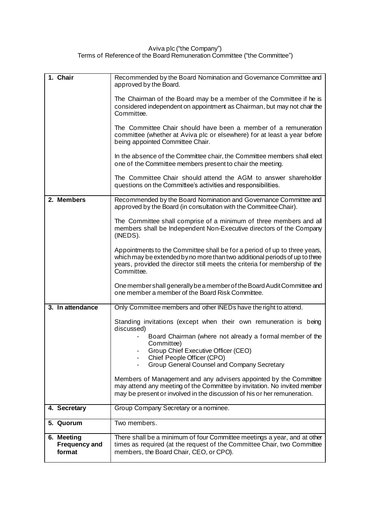## Aviva plc ("the Company") Terms of Reference of the Board Remuneration Committee ("the Committee")

| 1. Chair                                     | Recommended by the Board Nomination and Governance Committee and<br>approved by the Board.                                                                                                                                                            |  |  |
|----------------------------------------------|-------------------------------------------------------------------------------------------------------------------------------------------------------------------------------------------------------------------------------------------------------|--|--|
|                                              | The Chairman of the Board may be a member of the Committee if he is<br>considered independent on appointment as Chairman, but may not chair the<br>Committee.                                                                                         |  |  |
|                                              | The Committee Chair should have been a member of a remuneration<br>committee (whether at Aviva plc or elsewhere) for at least a year before<br>being appointed Committee Chair.                                                                       |  |  |
|                                              | In the absence of the Committee chair, the Committee members shall elect<br>one of the Committee members present to chair the meeting.                                                                                                                |  |  |
|                                              | The Committee Chair should attend the AGM to answer shareholder<br>questions on the Committee's activities and responsibilities.                                                                                                                      |  |  |
| 2. Members                                   | Recommended by the Board Nomination and Governance Committee and<br>approved by the Board (in consultation with the Committee Chair).                                                                                                                 |  |  |
|                                              | The Committee shall comprise of a minimum of three members and all<br>members shall be Independent Non-Executive directors of the Company<br>(INEDS).                                                                                                 |  |  |
|                                              | Appointments to the Committee shall be for a period of up to three years,<br>which may be extended by no more than two additional periods of up to three<br>years, provided the director still meets the criteria for membership of the<br>Committee. |  |  |
|                                              | One member shall generally be a member of the Board Audit Committee and<br>one member a member of the Board Risk Committee.                                                                                                                           |  |  |
| 3. In attendance                             | Only Committee members and other INEDs have the right to attend.                                                                                                                                                                                      |  |  |
|                                              | Standing invitations (except when their own remuneration is being<br>discussed)                                                                                                                                                                       |  |  |
|                                              | Board Chairman (where not already a formal member of the<br>Committee)                                                                                                                                                                                |  |  |
|                                              | Group Chief Executive Officer (CEO)<br>Chief People Officer (CPO)                                                                                                                                                                                     |  |  |
|                                              | Group General Counsel and Company Secretary                                                                                                                                                                                                           |  |  |
|                                              | Members of Management and any advisers appointed by the Committee<br>may attend any meeting of the Committee by invitation. No invited member<br>may be present or involved in the discussion of his or her remuneration.                             |  |  |
| 4. Secretary                                 | Group Company Secretary or a nominee.                                                                                                                                                                                                                 |  |  |
| 5. Quorum                                    | Two members.                                                                                                                                                                                                                                          |  |  |
| 6. Meeting<br><b>Frequency and</b><br>format | There shall be a minimum of four Committee meetings a year, and at other<br>times as required (at the request of the Committee Chair, two Committee<br>members, the Board Chair, CEO, or CPO).                                                        |  |  |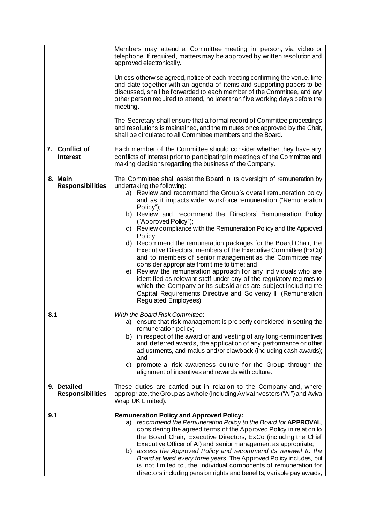|                                        | Members may attend a Committee meeting in person, via video or<br>telephone. If required, matters may be approved by written resolution and<br>approved electronically.<br>Unless otherwise agreed, notice of each meeting confirming the venue, time<br>and date together with an agenda of items and supporting papers to be<br>discussed, shall be forwarded to each member of the Committee, and any<br>other person required to attend, no later than five working days before the<br>meeting.<br>The Secretary shall ensure that a formal record of Committee proceedings<br>and resolutions is maintained, and the minutes once approved by the Chair,<br>shall be circulated to all Committee members and the Board.                                                                                                                                                                                                                                                         |  |  |  |
|----------------------------------------|--------------------------------------------------------------------------------------------------------------------------------------------------------------------------------------------------------------------------------------------------------------------------------------------------------------------------------------------------------------------------------------------------------------------------------------------------------------------------------------------------------------------------------------------------------------------------------------------------------------------------------------------------------------------------------------------------------------------------------------------------------------------------------------------------------------------------------------------------------------------------------------------------------------------------------------------------------------------------------------|--|--|--|
| 7. Conflict of<br><b>Interest</b>      | Each member of the Committee should consider whether they have any<br>conflicts of interest prior to participating in meetings of the Committee and<br>making decisions regarding the business of the Company.                                                                                                                                                                                                                                                                                                                                                                                                                                                                                                                                                                                                                                                                                                                                                                       |  |  |  |
| 8. Main<br><b>Responsibilities</b>     | The Committee shall assist the Board in its oversight of remuneration by<br>undertaking the following:<br>a) Review and recommend the Group's overall remuneration policy<br>and as it impacts wider workforce remuneration ("Remuneration<br>Policy");<br>b) Review and recommend the Directors' Remuneration Policy<br>("Approved Policy");<br>c) Review compliance with the Remuneration Policy and the Approved<br>Policy;<br>d) Recommend the remuneration packages for the Board Chair, the<br>Executive Directors, members of the Executive Committee (ExCo)<br>and to members of senior management as the Committee may<br>consider appropriate from time to time; and<br>e) Review the remuneration approach for any individuals who are<br>identified as relevant staff under any of the regulatory regimes to<br>which the Company or its subsidiaries are subject including the<br>Capital Requirements Directive and Solvency II (Remuneration<br>Regulated Employees). |  |  |  |
| 8.1                                    | <b>With the Board Risk Committee:</b><br>a) ensure that risk management is properly considered in setting the<br>remuneration policy;<br>b) in respect of the award of and vesting of any long-term incentives<br>and deferred awards, the application of any performance or other<br>adjustments, and malus and/or clawback (including cash awards);<br>and<br>promote a risk awareness culture for the Group through the<br>C)<br>alignment of incentives and rewards with culture.                                                                                                                                                                                                                                                                                                                                                                                                                                                                                                |  |  |  |
| 9. Detailed<br><b>Responsibilities</b> | These duties are carried out in relation to the Company and, where<br>appropriate, the Group as a whole (including Aviva Investors ("Al") and Aviva<br>Wrap UK Limited).                                                                                                                                                                                                                                                                                                                                                                                                                                                                                                                                                                                                                                                                                                                                                                                                             |  |  |  |
| 9.1                                    | <b>Remuneration Policy and Approved Policy:</b><br>a) recommend the Remuneration Policy to the Board for APPROVAL,<br>considering the agreed terms of the Approved Policy in relation to<br>the Board Chair, Executive Directors, ExCo (including the Chief<br>Executive Officer of AI) and senior management as appropriate;<br>b) assess the Approved Policy and recommend its renewal to the<br>Board at least every three years. The Approved Policy includes, but<br>is not limited to, the individual components of remuneration for<br>directors including pension rights and benefits, variable pay awards,                                                                                                                                                                                                                                                                                                                                                                  |  |  |  |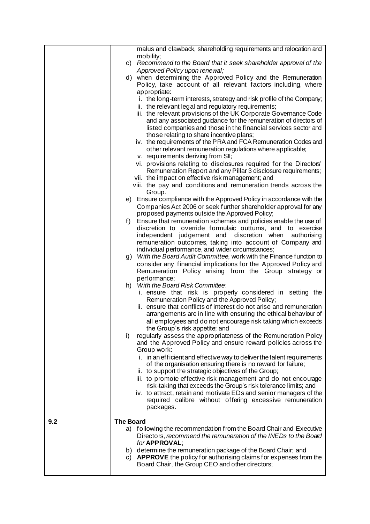|     | malus and clawback, shareholding requirements and relocation and                                                                           |  |  |
|-----|--------------------------------------------------------------------------------------------------------------------------------------------|--|--|
|     | mobility;                                                                                                                                  |  |  |
|     | Recommend to the Board that it seek shareholder approval of the<br>C)<br>Approved Policy upon renewal;                                     |  |  |
|     | when determining the Approved Policy and the Remuneration<br>d)                                                                            |  |  |
|     | Policy, take account of all relevant factors including, where                                                                              |  |  |
|     | appropriate:                                                                                                                               |  |  |
|     | i. the long-term interests, strategy and risk profile of the Company;                                                                      |  |  |
|     | ii. the relevant legal and regulatory requirements;                                                                                        |  |  |
|     | iii. the relevant provisions of the UK Corporate Governance Code                                                                           |  |  |
|     | and any associated guidance for the remuneration of directors of                                                                           |  |  |
|     | listed companies and those in the financial services sector and                                                                            |  |  |
|     | those relating to share incentive plans;                                                                                                   |  |  |
|     | iv. the requirements of the PRA and FCA Remuneration Codes and                                                                             |  |  |
|     | other relevant remuneration regulations where applicable;                                                                                  |  |  |
|     | v. requirements deriving from SII;                                                                                                         |  |  |
|     | vi. provisions relating to disclosures required for the Directors'                                                                         |  |  |
|     | Remuneration Report and any Pillar 3 disclosure requirements;                                                                              |  |  |
|     | vii. the impact on effective risk management; and                                                                                          |  |  |
|     | viii. the pay and conditions and remuneration trends across the                                                                            |  |  |
|     | Group.                                                                                                                                     |  |  |
|     | e) Ensure compliance with the Approved Policy in accordance with the                                                                       |  |  |
|     | Companies Act 2006 or seek further shareholder approval for any                                                                            |  |  |
|     | proposed payments outside the Approved Policy;                                                                                             |  |  |
|     | Ensure that remuneration schemes and policies enable the use of<br>f)                                                                      |  |  |
|     | discretion to override formulaic outturns, and to exercise                                                                                 |  |  |
|     | independent judgement and discretion when<br>authorising                                                                                   |  |  |
|     | remuneration outcomes, taking into account of Company and                                                                                  |  |  |
|     | individual performance, and wider circumstances;                                                                                           |  |  |
|     | With the Board Audit Committee, work with the Finance function to<br>g)<br>consider any financial implications for the Approved Policy and |  |  |
|     | Remuneration Policy arising from the Group strategy or                                                                                     |  |  |
|     | performance;                                                                                                                               |  |  |
|     | With the Board Risk Committee:<br>h)                                                                                                       |  |  |
|     | i. ensure that risk is properly considered in setting the                                                                                  |  |  |
|     | Remuneration Policy and the Approved Policy;                                                                                               |  |  |
|     | ii. ensure that conflicts of interest do not arise and remuneration                                                                        |  |  |
|     | arrangements are in line with ensuring the ethical behaviour of                                                                            |  |  |
|     | all employees and do not encourage risk taking which exceeds                                                                               |  |  |
|     | the Group's risk appetite; and                                                                                                             |  |  |
|     | regularly assess the appropriateness of the Remuneration Policy<br>i)                                                                      |  |  |
|     | and the Approved Policy and ensure reward policies across the                                                                              |  |  |
|     | Group work:                                                                                                                                |  |  |
|     | i. in an efficient and effective way to deliver the talent requirements                                                                    |  |  |
|     | of the organisation ensuring there is no reward for failure;                                                                               |  |  |
|     | ii. to support the strategic objectives of the Group;                                                                                      |  |  |
|     | iii. to promote effective risk management and do not encourage                                                                             |  |  |
|     | risk-taking that exceeds the Group's risk tolerance limits; and                                                                            |  |  |
|     | iv. to attract, retain and motivate EDs and senior managers of the                                                                         |  |  |
|     | required calibre without offering excessive remuneration                                                                                   |  |  |
|     | packages.                                                                                                                                  |  |  |
| 9.2 | <b>The Board</b>                                                                                                                           |  |  |
|     | a) following the recommendation from the Board Chair and Executive                                                                         |  |  |
|     | Directors, recommend the remuneration of the INEDs to the Board                                                                            |  |  |
|     | for APPROVAL;                                                                                                                              |  |  |
|     | b) determine the remuneration package of the Board Chair; and                                                                              |  |  |
|     | c) APPROVE the policy for authorising claims for expenses from the                                                                         |  |  |
|     | Board Chair, the Group CEO and other directors;                                                                                            |  |  |
|     |                                                                                                                                            |  |  |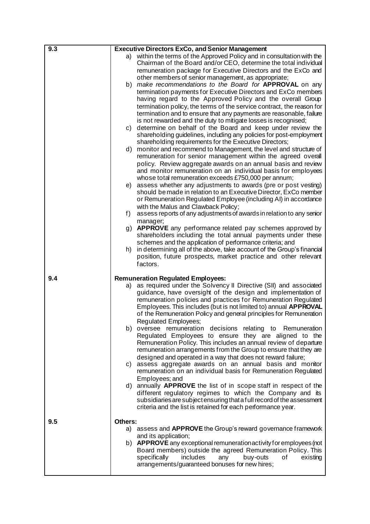| 9.3 | <b>Executive Directors ExCo, and Senior Management</b>                                                                                                                                                                                                                                                                                                                                                                                                                                                                                                                                                                                                                                                                                                                                                                                                                                                                                                                                                                                                                                                                                                                                                                                                                                           |  |
|-----|--------------------------------------------------------------------------------------------------------------------------------------------------------------------------------------------------------------------------------------------------------------------------------------------------------------------------------------------------------------------------------------------------------------------------------------------------------------------------------------------------------------------------------------------------------------------------------------------------------------------------------------------------------------------------------------------------------------------------------------------------------------------------------------------------------------------------------------------------------------------------------------------------------------------------------------------------------------------------------------------------------------------------------------------------------------------------------------------------------------------------------------------------------------------------------------------------------------------------------------------------------------------------------------------------|--|
|     | a) within the terms of the Approved Policy and in consultation with the<br>Chairman of the Board and/or CEO, determine the total individual<br>remuneration package for Executive Directors and the ExCo and<br>other members of senior management, as appropriate;<br>b) make recommendations to the Board for APPROVAL on any<br>termination payments for Executive Directors and ExCo members<br>having regard to the Approved Policy and the overall Group<br>termination policy, the terms of the service contract, the reason for<br>termination and to ensure that any payments are reasonable, failure<br>is not rewarded and the duty to mitigate losses is recognised;<br>determine on behalf of the Board and keep under review the<br>C)<br>shareholding guidelines, including any policies for post-employment<br>shareholding requirements for the Executive Directors;<br>monitor and recommend to Management, the level and structure of<br>d)<br>remuneration for senior management within the agreed overall<br>policy. Review aggregate awards on an annual basis and review<br>and monitor remuneration on an individual basis for employees<br>whose total remuneration exceeds £750,000 per annum;<br>assess whether any adjustments to awards (pre or post vesting)<br>e) |  |
|     | should be made in relation to an Executive Director, ExCo member<br>or Remuneration Regulated Employee (including AI) in accordance<br>with the Malus and Clawback Policy;                                                                                                                                                                                                                                                                                                                                                                                                                                                                                                                                                                                                                                                                                                                                                                                                                                                                                                                                                                                                                                                                                                                       |  |
|     | assess reports of any adjustments of awards in relation to any senior<br>f)<br>manager;                                                                                                                                                                                                                                                                                                                                                                                                                                                                                                                                                                                                                                                                                                                                                                                                                                                                                                                                                                                                                                                                                                                                                                                                          |  |
|     | g) <b>APPROVE</b> any performance related pay schemes approved by<br>shareholders including the total annual payments under these<br>schemes and the application of performance criteria; and                                                                                                                                                                                                                                                                                                                                                                                                                                                                                                                                                                                                                                                                                                                                                                                                                                                                                                                                                                                                                                                                                                    |  |
|     | in determining all of the above, take account of the Group's financial<br>h)<br>position, future prospects, market practice and other relevant<br>factors.                                                                                                                                                                                                                                                                                                                                                                                                                                                                                                                                                                                                                                                                                                                                                                                                                                                                                                                                                                                                                                                                                                                                       |  |
| 9.4 | <b>Remuneration Regulated Employees:</b>                                                                                                                                                                                                                                                                                                                                                                                                                                                                                                                                                                                                                                                                                                                                                                                                                                                                                                                                                                                                                                                                                                                                                                                                                                                         |  |
|     | as required under the Solvency II Directive (SII) and associated<br>a)<br>guidance, have oversight of the design and implementation of<br>remuneration policies and practices for Remuneration Regulated<br>Employees. This includes (but is not limited to) annual APPROVAL<br>of the Remuneration Policy and general principles for Remuneration<br><b>Regulated Employees;</b><br>b) oversee remuneration decisions relating to Remuneration<br>Regulated Employees to ensure they are aligned to the<br>Remuneration Policy. This includes an annual review of departure<br>remuneration arrangements from the Group to ensure that they are                                                                                                                                                                                                                                                                                                                                                                                                                                                                                                                                                                                                                                                 |  |
|     | designed and operated in a way that does not reward failure;<br>c) assess aggregate awards on an annual basis and monitor<br>remuneration on an individual basis for Remuneration Regulated<br>Employees; and                                                                                                                                                                                                                                                                                                                                                                                                                                                                                                                                                                                                                                                                                                                                                                                                                                                                                                                                                                                                                                                                                    |  |
|     | d) annually <b>APPROVE</b> the list of in scope staff in respect of the<br>different regulatory regimes to which the Company and its<br>subsidiaries are subject ensuring that a full record of the assessment<br>criteria and the list is retained for each performance year.                                                                                                                                                                                                                                                                                                                                                                                                                                                                                                                                                                                                                                                                                                                                                                                                                                                                                                                                                                                                                   |  |
| 9.5 | Others:                                                                                                                                                                                                                                                                                                                                                                                                                                                                                                                                                                                                                                                                                                                                                                                                                                                                                                                                                                                                                                                                                                                                                                                                                                                                                          |  |
|     | a) assess and <b>APPROVE</b> the Group's reward governance framework<br>and its application;<br>b) APPROVE any exceptional remuneration activity for employees (not<br>Board members) outside the agreed Remuneration Policy. This<br>specifically<br>includes<br>buy-outs<br>any<br>οf<br>existing<br>arrangements/guaranteed bonuses for new hires;                                                                                                                                                                                                                                                                                                                                                                                                                                                                                                                                                                                                                                                                                                                                                                                                                                                                                                                                            |  |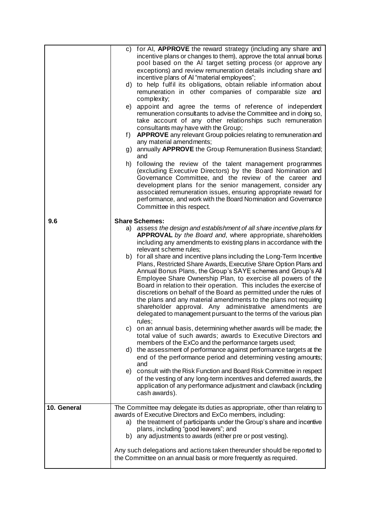|             | c) for AI, APPROVE the reward strategy (including any share and<br>incentive plans or changes to them), approve the total annual bonus<br>pool based on the AI target setting process (or approve any<br>exceptions) and review remuneration details including share and<br>incentive plans of AI "material employees";<br>to help fulfil its obligations, obtain reliable information about<br>d)<br>remuneration in other companies of comparable size and<br>complexity;<br>e) appoint and agree the terms of reference of independent<br>remuneration consultants to advise the Committee and in doing so,<br>take account of any other relationships such remuneration<br>consultants may have with the Group;<br><b>APPROVE</b> any relevant Group policies relating to remuneration and<br>f)<br>any material amendments;<br>g) annually APPROVE the Group Remuneration Business Standard;<br>and<br>following the review of the talent management programmes<br>h)<br>(excluding Executive Directors) by the Board Nomination and                                                                                                                                                                                                                                                                                                                                                                                                                                                                                                               |  |
|-------------|---------------------------------------------------------------------------------------------------------------------------------------------------------------------------------------------------------------------------------------------------------------------------------------------------------------------------------------------------------------------------------------------------------------------------------------------------------------------------------------------------------------------------------------------------------------------------------------------------------------------------------------------------------------------------------------------------------------------------------------------------------------------------------------------------------------------------------------------------------------------------------------------------------------------------------------------------------------------------------------------------------------------------------------------------------------------------------------------------------------------------------------------------------------------------------------------------------------------------------------------------------------------------------------------------------------------------------------------------------------------------------------------------------------------------------------------------------------------------------------------------------------------------------------------------------|--|
|             | Governance Committee, and the review of the career and<br>development plans for the senior management, consider any<br>associated remuneration issues, ensuring appropriate reward for<br>performance, and work with the Board Nomination and Governance<br>Committee in this respect.                                                                                                                                                                                                                                                                                                                                                                                                                                                                                                                                                                                                                                                                                                                                                                                                                                                                                                                                                                                                                                                                                                                                                                                                                                                                  |  |
| 9.6         | <b>Share Schemes:</b>                                                                                                                                                                                                                                                                                                                                                                                                                                                                                                                                                                                                                                                                                                                                                                                                                                                                                                                                                                                                                                                                                                                                                                                                                                                                                                                                                                                                                                                                                                                                   |  |
| 10. General | a) assess the design and establishment of all share incentive plans for<br>APPROVAL by the Board and, where appropriate, shareholders<br>including any amendments to existing plans in accordance with the<br>relevant scheme rules;<br>b) for all share and incentive plans including the Long-Term Incentive<br>Plans, Restricted Share Awards, Executive Share Option Plans and<br>Annual Bonus Plans, the Group's SAYE schemes and Group's All<br>Employee Share Ownership Plan, to exercise all powers of the<br>Board in relation to their operation. This includes the exercise of<br>discretions on behalf of the Board as permitted under the rules of<br>the plans and any material amendments to the plans not requiring<br>shareholder approval. Any administrative amendments are<br>delegated to management pursuant to the terms of the various plan<br>rules;<br>c) on an annual basis, determining whether awards will be made; the<br>total value of such awards; awards to Executive Directors and<br>members of the ExCo and the performance targets used;<br>the assessment of performance against performance targets at the<br>d)<br>end of the performance period and determining vesting amounts;<br>and<br>e) consult with the Risk Function and Board Risk Committee in respect<br>of the vesting of any long-term incentives and deferred awards, the<br>application of any performance adjustment and clawback (including<br>cash awards).<br>The Committee may delegate its duties as appropriate, other than relating to |  |
|             | awards of Executive Directors and ExCo members, including:<br>the treatment of participants under the Group's share and incentive<br>a)<br>plans, including "good leavers"; and<br>b) any adjustments to awards (either pre or post vesting).                                                                                                                                                                                                                                                                                                                                                                                                                                                                                                                                                                                                                                                                                                                                                                                                                                                                                                                                                                                                                                                                                                                                                                                                                                                                                                           |  |
|             | Any such delegations and actions taken thereunder should be reported to<br>the Committee on an annual basis or more frequently as required.                                                                                                                                                                                                                                                                                                                                                                                                                                                                                                                                                                                                                                                                                                                                                                                                                                                                                                                                                                                                                                                                                                                                                                                                                                                                                                                                                                                                             |  |